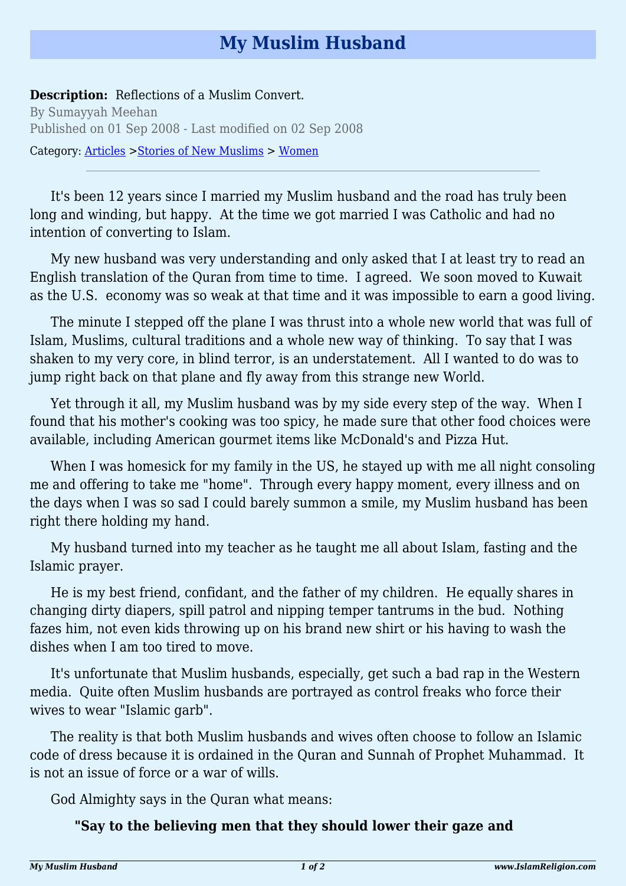## **My Muslim Husband**

## **Description:** Reflections of a Muslim Convert.

By Sumayyah Meehan Published on 01 Sep 2008 - Last modified on 02 Sep 2008 Category: [Articles](http://www.islamreligion.com/articles/) >[Stories of New Muslims](http://www.islamreligion.com/category/63/) > [Women](http://www.islamreligion.com/category/65/)

It's been 12 years since I married my Muslim husband and the road has truly been long and winding, but happy. At the time we got married I was Catholic and had no intention of converting to Islam.

My new husband was very understanding and only asked that I at least try to read an English translation of the Quran from time to time. I agreed. We soon moved to Kuwait as the U.S. economy was so weak at that time and it was impossible to earn a good living.

The minute I stepped off the plane I was thrust into a whole new world that was full of Islam, Muslims, cultural traditions and a whole new way of thinking. To say that I was shaken to my very core, in blind terror, is an understatement. All I wanted to do was to jump right back on that plane and fly away from this strange new World.

Yet through it all, my Muslim husband was by my side every step of the way. When I found that his mother's cooking was too spicy, he made sure that other food choices were available, including American gourmet items like McDonald's and Pizza Hut.

When I was homesick for my family in the US, he stayed up with me all night consoling me and offering to take me "home". Through every happy moment, every illness and on the days when I was so sad I could barely summon a smile, my Muslim husband has been right there holding my hand.

My husband turned into my teacher as he taught me all about Islam, fasting and the Islamic prayer.

He is my best friend, confidant, and the father of my children. He equally shares in changing dirty diapers, spill patrol and nipping temper tantrums in the bud. Nothing fazes him, not even kids throwing up on his brand new shirt or his having to wash the dishes when I am too tired to move.

It's unfortunate that Muslim husbands, especially, get such a bad rap in the Western media. Quite often Muslim husbands are portrayed as control freaks who force their wives to wear "Islamic garb".

The reality is that both Muslim husbands and wives often choose to follow an Islamic code of dress because it is ordained in the Quran and Sunnah of Prophet Muhammad. It is not an issue of force or a war of wills.

God Almighty says in the Quran what means:

## **"Say to the believing men that they should lower their gaze and**